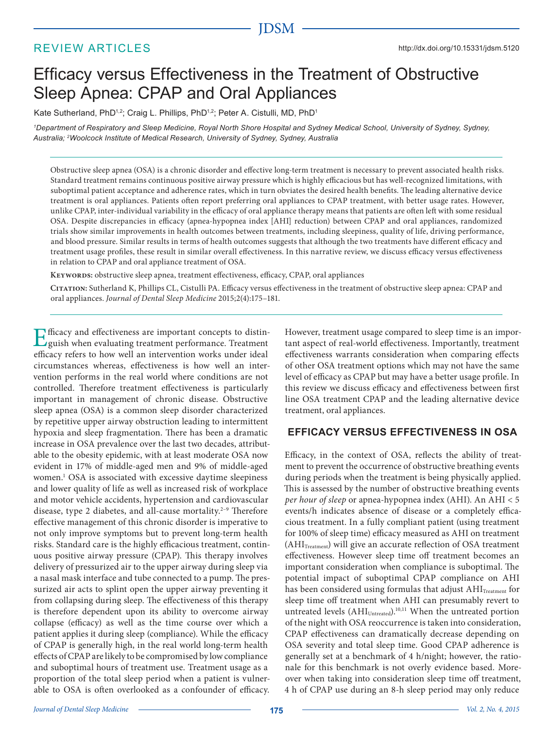# JDSM

# REVIEW ARTICLES

# Efficacy versus Effectiveness in the Treatment of Obstructive Sleep Apnea: CPAP and Oral Appliances

Kate Sutherland, PhD<sup>1,2</sup>; Craig L. Phillips, PhD<sup>1,2</sup>; Peter A. Cistulli, MD, PhD<sup>1</sup>

<sup>1</sup>*Department of Respiratory and Sleep Medicine, Royal North Shore Hospital and Sydney Medical School, University of Sydney, Sydney, Australia; <sup>2</sup>Woolcock Institute of Medical Research, University of Sydney, Sydney, Australia*

Obstructive sleep apnea (OSA) is a chronic disorder and effective long-term treatment is necessary to prevent associated health risks. Standard treatment remains continuous positive airway pressure which is highly efficacious but has well-recognized limitations, with suboptimal patient acceptance and adherence rates, which in turn obviates the desired health benefits. The leading alternative device treatment is oral appliances. Patients often report preferring oral appliances to CPAP treatment, with better usage rates. However, unlike CPAP, inter-individual variability in the efficacy of oral appliance therapy means that patients are often left with some residual OSA. Despite discrepancies in efficacy (apnea-hypopnea index [AHI] reduction) between CPAP and oral appliances, randomized trials show similar improvements in health outcomes between treatments, including sleepiness, quality of life, driving performance, and blood pressure. Similar results in terms of health outcomes suggests that although the two treatments have different efficacy and treatment usage profiles, these result in similar overall effectiveness. In this narrative review, we discuss efficacy versus effectiveness in relation to CPAP and oral appliance treatment of OSA.

KEYWORDS: obstructive sleep apnea, treatment effectiveness, efficacy, CPAP, oral appliances

**Citation:** Sutherland K, Phillips CL, Cistulli PA. Efficacy versus effectiveness in the treatment of obstructive sleep apnea: CPAP and oral appliances. Journal of Dental Sleep Medicine 2015;2(4):175–181.

Efficacy and effectiveness are important concepts to distinguish when evaluating treatment performance. Treatment guish when evaluating treatment performance. Treatment efficacy refers to how well an intervention works under ideal circumstances whereas, effectiveness is how well an intervention performs in the real world where conditions are not controlled. Therefore treatment effectiveness is particularly important in management of chronic disease. Obstructive sleep apnea (OSA) is a common sleep disorder characterized by repetitive upper airway obstruction leading to intermittent hypoxia and sleep fragmentation. There has been a dramatic increase in OSA prevalence over the last two decades, attributable to the obesity epidemic, with at least moderate OSA now evident in 17% of middle-aged men and 9% of middle-aged women.<sup>1</sup> OSA is associated with excessive daytime sleepiness and lower quality of life as well as increased risk of workplace and motor vehicle accidents, hypertension and cardiovascular disease, type 2 diabetes, and all-cause mortality.<sup>2-9</sup> Therefore effective management of this chronic disorder is imperative to not only improve symptoms but to prevent long-term health risks. Standard care is the highly efficacious treatment, continuous positive airway pressure (CPAP). This therapy involves delivery of pressurized air to the upper airway during sleep via a nasal mask interface and tube connected to a pump. The pressurized air acts to splint open the upper airway preventing it from collapsing during sleep. The effectiveness of this therapy is therefore dependent upon its ability to overcome airway collapse (efficacy) as well as the time course over which a patient applies it during sleep (compliance). While the efficacy of CPAP is generally high, in the real world long-term health effects of CPAP are likely to be compromised by low compliance and suboptimal hours of treatment use. Treatment usage as a proportion of the total sleep period when a patient is vulnerable to OSA is often overlooked as a confounder of efficacy.

However, treatment usage compared to sleep time is an important aspect of real-world effectiveness. Importantly, treatment effectiveness warrants consideration when comparing effects of other OSA treatment options which may not have the same level of efficacy as CPAP but may have a better usage profile. In this review we discuss efficacy and effectiveness between first line OSA treatment CPAP and the leading alternative device treatment, oral appliances.

#### **EFFICACY VERSUS EFFECTIVENESS IN OSA**

Efficacy, in the context of OSA, reflects the ability of treatment to prevent the occurrence of obstructive breathing events during periods when the treatment is being physically applied. This is assessed by the number of obstructive breathing events per hour of sleep or apnea-hypopnea index (AHI). An AHI < 5 events/h indicates absence of disease or a completely efficacious treatment. In a fully compliant patient (using treatment for 100% of sleep time) efficacy measured as AHI on treatment (AHI<sub>Treatment</sub>) will give an accurate reflection of OSA treatment effectiveness. However sleep time off treatment becomes an important consideration when compliance is suboptimal. The potential impact of suboptimal CPAP compliance on AHI has been considered using formulas that adjust AHI<sub>Treatment</sub> for sleep time off treatment when AHI can presumably revert to untreated levels (AHI<sub>Untreated</sub>).<sup>10,11</sup> When the untreated portion of the night with OSA reoccurrence is taken into consideration, CPAP effectiveness can dramatically decrease depending on OSA severity and total sleep time. Good CPAP adherence is generally set at a benchmark of 4 h/night; however, the rationale for this benchmark is not overly evidence based. Moreover when taking into consideration sleep time off treatment, 4 h of CPAP use during an 8-h sleep period may only reduce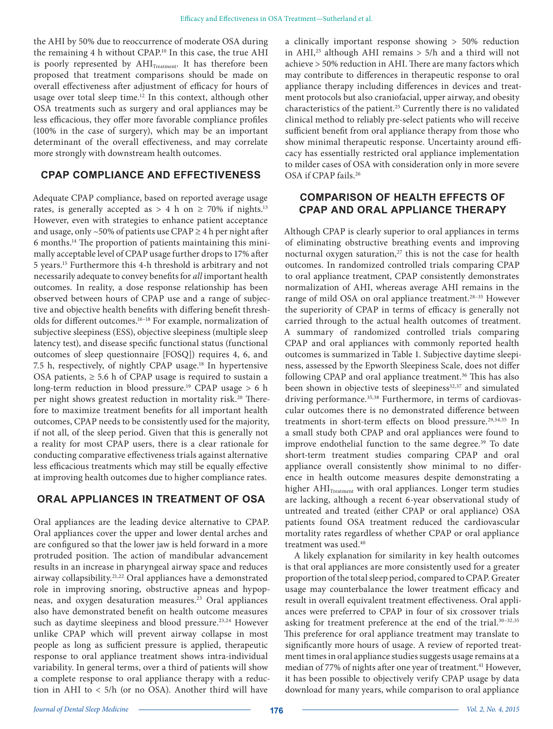the AHI by 50% due to reoccurrence of moderate OSA during the remaining 4 h without CPAP.<sup>10</sup> In this case, the true AHI is poorly represented by AHI<sub>Treatment</sub>. It has therefore been proposed that treatment comparisons should be made on overall effectiveness after adjustment of efficacy for hours of usage over total sleep time.<sup>12</sup> In this context, although other OSA treatments such as surgery and oral appliances may be less efficacious, they offer more favorable compliance profiles (100% in the case of surgery), which may be an important determinant of the overall effectiveness, and may correlate more strongly with downstream health outcomes.

#### **CPAP COMPLIANCE AND EFFECTIVENESS**

Adequate CPAP compliance, based on reported average usage rates, is generally accepted as > 4 h on  $\geq$  70% if nights.<sup>13</sup> However, even with strategies to enhance patient acceptance and usage, only ~50% of patients use CPAP  $\geq$  4 h per night after 6 months.14 The proportion of patients maintaining this minimally acceptable level of CPAP usage further drops to 17% after 5 years.<sup>15</sup> Furthermore this 4-h threshold is arbitrary and not necessarily adequate to convey benefits for all important health outcomes. In reality, a dose response relationship has been observed between hours of CPAP use and a range of subjective and objective health benefits with differing benefit thresholds for different outcomes.16–18 For example, normalization of subjective sleepiness (ESS), objective sleepiness (multiple sleep latency test), and disease specific functional status (functional outcomes of sleep questionnaire [FOSQ]) requires 4, 6, and 7.5 h, respectively, of nightly CPAP usage.<sup>18</sup> In hypertensive OSA patients,  $\geq$  5.6 h of CPAP usage is required to sustain a long-term reduction in blood pressure.<sup>19</sup> CPAP usage > 6 h per night shows greatest reduction in mortality risk.<sup>20</sup> Therefore to maximize treatment benefits for all important health outcomes, CPAP needs to be consistently used for the majority, if not all, of the sleep period. Given that this is generally not a reality for most CPAP users, there is a clear rationale for conducting comparative effectiveness trials against alternative less efficacious treatments which may still be equally effective at improving health outcomes due to higher compliance rates.

#### **ORAL APPLIANCES IN TREATMENT OF OSA**

Oral appliances are the leading device alternative to CPAP. Oral appliances cover the upper and lower dental arches and are configured so that the lower jaw is held forward in a more protruded position. The action of mandibular advancement results in an increase in pharyngeal airway space and reduces airway collapsibility.21,22 Oral appliances have a demonstrated role in improving snoring, obstructive apneas and hypopneas, and oxygen desaturation measures.<sup>23</sup> Oral appliances also have demonstrated benefit on health outcome measures such as daytime sleepiness and blood pressure.<sup>23,24</sup> However unlike CPAP which will prevent airway collapse in most people as long as sufficient pressure is applied, therapeutic response to oral appliance treatment shows intra-individual variability. In general terms, over a third of patients will show a complete response to oral appliance therapy with a reduction in AHI to < 5/h (or no OSA). Another third will have

a clinically important response showing > 50% reduction in AHI,<sup>25</sup> although AHI remains  $> 5/h$  and a third will not achieve > 50% reduction in AHI. There are many factors which may contribute to differences in therapeutic response to oral appliance therapy including differences in devices and treatment protocols but also craniofacial, upper airway, and obesity characteristics of the patient.<sup>25</sup> Currently there is no validated clinical method to reliably pre-select patients who will receive sufficient benefit from oral appliance therapy from those who show minimal therapeutic response. Uncertainty around efficacy has essentially restricted oral appliance implementation to milder cases of OSA with consideration only in more severe OSA if CPAP fails.<sup>26</sup>

## **COMPARISON OF HEALTH EFFECTS OF CPAP AND ORAL APPLIANCE THERAPY**

Although CPAP is clearly superior to oral appliances in terms of eliminating obstructive breathing events and improving nocturnal oxygen saturation, $27$  this is not the case for health outcomes. In randomized controlled trials comparing CPAP to oral appliance treatment, CPAP consistently demonstrates normalization of AHI, whereas average AHI remains in the range of mild OSA on oral appliance treatment.28–35 However the superiority of CPAP in terms of efficacy is generally not carried through to the actual health outcomes of treatment. A summary of randomized controlled trials comparing CPAP and oral appliances with commonly reported health outcomes is summarized in Table 1. Subjective daytime sleepiness, assessed by the Epworth Sleepiness Scale, does not differ following CPAP and oral appliance treatment.<sup>36</sup> This has also been shown in objective tests of sleepiness<sup>32,37</sup> and simulated driving performance.<sup>35,38</sup> Furthermore, in terms of cardiovascular outcomes there is no demonstrated difference between treatments in short-term effects on blood pressure.<sup>29,34,35</sup> In a small study both CPAP and oral appliances were found to improve endothelial function to the same degree.<sup>39</sup> To date short-term treatment studies comparing CPAP and oral appliance overall consistently show minimal to no difference in health outcome measures despite demonstrating a higher AHI<sub>Treatment</sub> with oral appliances. Longer term studies are lacking, although a recent 6-year observational study of untreated and treated (either CPAP or oral appliance) OSA patients found OSA treatment reduced the cardiovascular mortality rates regardless of whether CPAP or oral appliance treatment was used.<sup>40</sup>

A likely explanation for similarity in key health outcomes is that oral appliances are more consistently used for a greater proportion of the total sleep period, compared to CPAP. Greater usage may counterbalance the lower treatment efficacy and result in overall equivalent treatment effectiveness. Oral appliances were preferred to CPAP in four of six crossover trials asking for treatment preference at the end of the trial.<sup>30-32,35</sup> This preference for oral appliance treatment may translate to significantly more hours of usage. A review of reported treatment times in oral appliance studies suggests usage remains at a median of 77% of nights after one year of treatment.<sup>41</sup> However, it has been possible to objectively verify CPAP usage by data download for many years, while comparison to oral appliance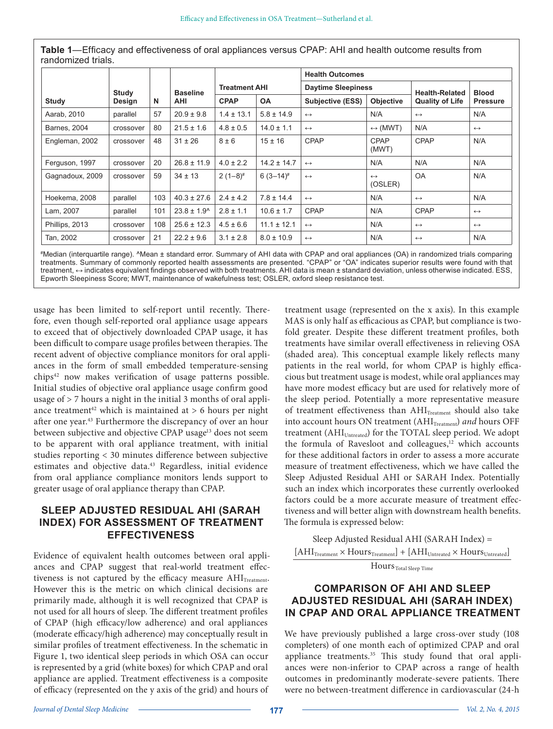|                    |  |  | Table 1—Efficacy and effectiveness of oral appliances versus CPAP: AHI and health outcome results from |
|--------------------|--|--|--------------------------------------------------------------------------------------------------------|
| randomized trials. |  |  |                                                                                                        |

|                     |                 |     |                               | <b>Treatment AHI</b> |                 | <b>Health Outcomes</b>    |                              |                        |                   |  |
|---------------------|-----------------|-----|-------------------------------|----------------------|-----------------|---------------------------|------------------------------|------------------------|-------------------|--|
|                     | Study<br>Design | N   | <b>Baseline</b><br><b>AHI</b> |                      |                 | <b>Daytime Sleepiness</b> |                              | <b>Health-Related</b>  | <b>Blood</b>      |  |
| Study               |                 |     |                               | <b>CPAP</b>          | <b>OA</b>       | Subjective (ESS)          | <b>Objective</b>             | <b>Quality of Life</b> | <b>Pressure</b>   |  |
| Aarab, 2010         | parallel        | 57  | $20.9 \pm 9.8$                | $1.4 \pm 13.1$       | $5.8 \pm 14.9$  | $\leftrightarrow$         | N/A                          | $\leftrightarrow$      | N/A               |  |
| <b>Barnes, 2004</b> | crossover       | 80  | $21.5 \pm 1.6$                | $4.8 \pm 0.5$        | $14.0 \pm 1.1$  | $\leftrightarrow$         | $\leftrightarrow$ (MWT)      | N/A                    | $\leftrightarrow$ |  |
| Engleman, 2002      | crossover       | 48  | $31 \pm 26$                   | $8 \pm 6$            | $15 \pm 16$     | <b>CPAP</b>               | CPAP<br>(MWT)                | CPAP                   | N/A               |  |
| Ferguson, 1997      | crossover       | 20  | $26.8 \pm 11.9$               | $4.0 \pm 2.2$        | $14.2 \pm 14.7$ | $\leftrightarrow$         | N/A                          | N/A                    | N/A               |  |
| Gagnadoux, 2009     | crossover       | 59  | $34 \pm 13$                   | $2(1-8)^{*}$         | $6(3-14)^{*}$   | $\leftrightarrow$         | $\leftrightarrow$<br>(OSLER) | <b>OA</b>              | N/A               |  |
| Hoekema, 2008       | parallel        | 103 | $40.3 \pm 27.6$               | $2.4 \pm 4.2$        | $7.8 \pm 14.4$  | $\leftrightarrow$         | N/A                          | $\leftrightarrow$      | N/A               |  |
| Lam, 2007           | parallel        | 101 | $23.8 \pm 1.9$ <sup>^</sup>   | $2.8 \pm 1.1$        | $10.6 \pm 1.7$  | CPAP                      | N/A                          | CPAP                   | $\leftrightarrow$ |  |
| Phillips, 2013      | crossover       | 108 | $25.6 \pm 12.3$               | $4.5 \pm 6.6$        | $11.1 \pm 12.1$ | $\leftrightarrow$         | N/A                          | $\leftrightarrow$      | $\leftrightarrow$ |  |
| Tan, 2002           | crossover       | 21  | $22.2 \pm 9.6$                | $3.1 \pm 2.8$        | $8.0 \pm 10.9$  | $\leftrightarrow$         | N/A                          | $\leftrightarrow$      | N/A               |  |

#Median (interquartile range). ^Mean ± standard error. Summary of AHI data with CPAP and oral appliances (OA) in randomized trials comparing treatments. Summary of commonly reported health assessments are presented. "CPAP" or "OA" indicates superior results were found with that treatment, ↔ indicates equivalent findings observed with both treatments. AHI data is mean ± standard deviation, unless otherwise indicated. ESS, Epworth Sleepiness Score; MWT, maintenance of wakefulness test; OSLER, oxford sleep resistance test.

usage has been limited to self-report until recently. Therefore, even though self-reported oral appliance usage appears to exceed that of objectively downloaded CPAP usage, it has been difficult to compare usage profiles between therapies. The recent advent of objective compliance monitors for oral appliances in the form of small embedded temperature-sensing chips<sup>42</sup> now makes verification of usage patterns possible. Initial studies of objective oral appliance usage confirm good usage of > 7 hours a night in the initial 3 months of oral appliance treatment<sup>42</sup> which is maintained at  $> 6$  hours per night after one year.<sup>43</sup> Furthermore the discrepancy of over an hour between subjective and objective CPAP usage<sup>13</sup> does not seem to be apparent with oral appliance treatment, with initial studies reporting < 30 minutes difference between subjective estimates and objective data.<sup>43</sup> Regardless, initial evidence from oral appliance compliance monitors lends support to greater usage of oral appliance therapy than CPAP.

### **SLEEP ADJUSTED RESIDUAL AHI (SARAH INDEX) FOR ASSESSMENT OF TREATMENT EFFECTIVENESS**

Evidence of equivalent health outcomes between oral appliances and CPAP suggest that real-world treatment effectiveness is not captured by the efficacy measure  $AHI_{Treatment}$ . However this is the metric on which clinical decisions are primarily made, although it is well recognized that CPAP is not used for all hours of sleep. The different treatment profiles of CPAP (high efficacy/low adherence) and oral appliances (moderate efficacy/high adherence) may conceptually result in similar profiles of treatment effectiveness. In the schematic in Figure 1, two identical sleep periods in which OSA can occur is represented by a grid (white boxes) for which CPAP and oral appliance are applied. Treatment effectiveness is a composite of efficacy (represented on the y axis of the grid) and hours of

treatment usage (represented on the x axis). In this example MAS is only half as efficacious as CPAP, but compliance is twofold greater. Despite these different treatment profiles, both treatments have similar overall effectiveness in relieving OSA (shaded area). This conceptual example likely reflects many patients in the real world, for whom CPAP is highly efficacious but treatment usage is modest, while oral appliances may have more modest efficacy but are used for relatively more of the sleep period. Potentially a more representative measure of treatment effectiveness than  $AHI<sub>Treatment</sub>$  should also take into account hours ON treatment (AHI<sub>Treatment</sub>) and hours OFF treatment (AHI<sub>Untreated</sub>) for the TOTAL sleep period. We adopt the formula of Ravesloot and colleagues,<sup>12</sup> which accounts for these additional factors in order to assess a more accurate measure of treatment effectiveness, which we have called the Sleep Adjusted Residual AHI or SARAH Index. Potentially such an index which incorporates these currently overlooked factors could be a more accurate measure of treatment effectiveness and will better align with downstream health benefits. The formula is expressed below:

Sleep Adjusted Residual AHI (SARAH Index) =  $[\text{AHI}_\text{Treatment} \times \text{Hours}_\text{Treatment}] + [\text{AHI}_\text{Untreated} \times \text{Hours}_\text{Untreated}]$ Hours Total Sleep Time

### **COMPARISON OF AHI AND SLEEP ADJUSTED RESIDUAL AHI (SARAH INDEX) IN CPAP AND ORAL APPLIANCE TREATMENT**

We have previously published a large cross-over study (108 completers) of one month each of optimized CPAP and oral appliance treatments.<sup>35</sup> This study found that oral appliances were non-inferior to CPAP across a range of health outcomes in predominantly moderate-severe patients. There were no between-treatment difference in cardiovascular (24-h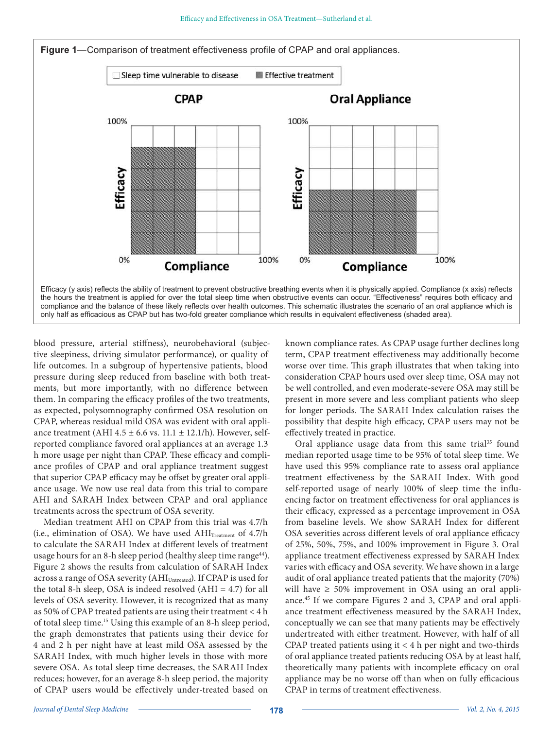



blood pressure, arterial stiffness), neurobehavioral (subjective sleepiness, driving simulator performance), or quality of life outcomes. In a subgroup of hypertensive patients, blood pressure during sleep reduced from baseline with both treatments, but more importantly, with no difference between them. In comparing the efficacy profiles of the two treatments, as expected, polysomnography confirmed OSA resolution on CPAP, whereas residual mild OSA was evident with oral appliance treatment (AHI 4.5  $\pm$  6.6 vs. 11.1  $\pm$  12.1/h). However, selfreported compliance favored oral appliances at an average 1.3 h more usage per night than CPAP. These efficacy and compliance profiles of CPAP and oral appliance treatment suggest that superior CPAP efficacy may be offset by greater oral appliance usage. We now use real data from this trial to compare AHI and SARAH Index between CPAP and oral appliance treatments across the spectrum of OSA severity.

Median treatment AHI on CPAP from this trial was 4.7/h (i.e., elimination of OSA). We have used  $AHI<sub>Treatment</sub>$  of 4.7/h to calculate the SARAH Index at different levels of treatment usage hours for an 8-h sleep period (healthy sleep time range<sup>44</sup>). Figure 2 shows the results from calculation of SARAH Index across a range of OSA severity (AHI<sub>Untreated</sub>). If CPAP is used for the total 8-h sleep, OSA is indeed resolved (AHI = 4.7) for all levels of OSA severity. However, it is recognized that as many as 50% of CPAP treated patients are using their treatment < 4 h of total sleep time.<sup>15</sup> Using this example of an 8-h sleep period, the graph demonstrates that patients using their device for 4 and 2 h per night have at least mild OSA assessed by the SARAH Index, with much higher levels in those with more severe OSA. As total sleep time decreases, the SARAH Index reduces; however, for an average 8-h sleep period, the majority of CPAP users would be effectively under-treated based on

known compliance rates. As CPAP usage further declines long term, CPAP treatment effectiveness may additionally become worse over time. This graph illustrates that when taking into consideration CPAP hours used over sleep time, OSA may not be well controlled, and even moderate-severe OSA may still be present in more severe and less compliant patients who sleep for longer periods. The SARAH Index calculation raises the possibility that despite high efficacy, CPAP users may not be effectively treated in practice.

Oral appliance usage data from this same trial<sup>35</sup> found median reported usage time to be 95% of total sleep time. We have used this 95% compliance rate to assess oral appliance treatment effectiveness by the SARAH Index. With good self-reported usage of nearly 100% of sleep time the influencing factor on treatment effectiveness for oral appliances is their efficacy, expressed as a percentage improvement in OSA from baseline levels. We show SARAH Index for different OSA severities across different levels of oral appliance efficacy of 25%, 50%, 75%, and 100% improvement in Figure 3. Oral appliance treatment effectiveness expressed by SARAH Index varies with efficacy and OSA severity. We have shown in a large audit of oral appliance treated patients that the majority (70%) will have  $\geq 50\%$  improvement in OSA using an oral appliance.45 If we compare Figures 2 and 3, CPAP and oral appliance treatment effectiveness measured by the SARAH Index, conceptually we can see that many patients may be effectively undertreated with either treatment. However, with half of all CPAP treated patients using it < 4 h per night and two-thirds of oral appliance treated patients reducing OSA by at least half, theoretically many patients with incomplete efficacy on oral appliance may be no worse off than when on fully efficacious CPAP in terms of treatment effectiveness.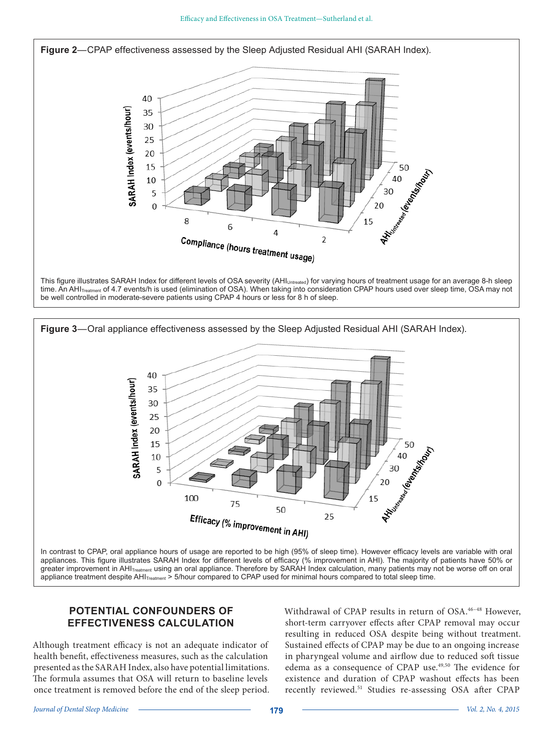Journal of Dental Sleep Medicine Vol. 2, No. 4, 2015 **179**

Efficacy and Effectiveness in OSA Treatment—Sutherland et al.

**Figure 2**—CPAP effectiveness assessed by the Sleep Adjusted Residual AHI (SARAH Index).

F

Compliance (hours treatment usage)

40

10

5

 $\mathbf 0$ 

8

SARAH Index (events/hour)

This figure illustrates SARAH Index for different levels of OSA severity (AHI<sub>Untreated</sub>) for varying hours of treatment usage for an average 8-h sleep time. An AHI<sub>Treatment</sub> of 4.7 events/h is used (elimination of OSA). When taking into consideration CPAP hours used over sleep time, OSA may not be well controlled in moderate-severe patients using CPAP 4 hours or less for 8 h of sleep.

4



appliance treatment despite AHI<sub>Treatment</sub> > 5/hour compared to CPAP used for minimal hours compared to total sleep time.

## **POTENTIAL CONFOUNDERS OF EFFECTIVENESS CALCULATION**

Although treatment efficacy is not an adequate indicator of health benefit, effectiveness measures, such as the calculation presented as the SARAH Index, also have potential limitations. The formula assumes that OSA will return to baseline levels once treatment is removed before the end of the sleep period.

Withdrawal of CPAP results in return of OSA.<sup>46-48</sup> However, short-term carryover effects after CPAP removal may occur resulting in reduced OSA despite being without treatment. Sustained effects of CPAP may be due to an ongoing increase in pharyngeal volume and airflow due to reduced soft tissue edema as a consequence of CPAP use.49,50 The evidence for existence and duration of CPAP washout effects has been recently reviewed.<sup>51</sup> Studies re-assessing OSA after CPAP

40

30

20

15

 $\overline{2}$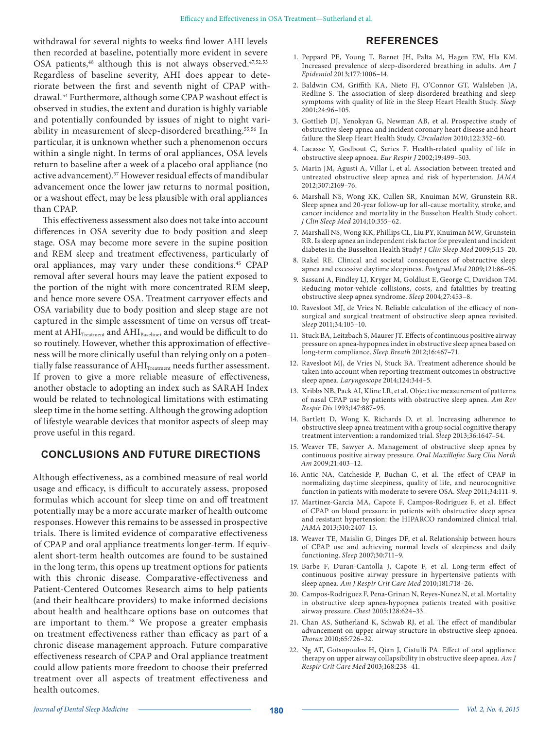withdrawal for several nights to weeks find lower AHI levels then recorded at baseline, potentially more evident in severe OSA patients,<sup>48</sup> although this is not always observed.<sup>47,52,53</sup> Regardless of baseline severity, AHI does appear to deteriorate between the first and seventh night of CPAP withdrawal.<sup>54</sup> Furthermore, although some CPAP washout effect is observed in studies, the extent and duration is highly variable and potentially confounded by issues of night to night variability in measurement of sleep-disordered breathing.<sup>55,56</sup> In particular, it is unknown whether such a phenomenon occurs within a single night. In terms of oral appliances, OSA levels return to baseline after a week of a placebo oral appliance (no active advancement).<sup>57</sup> However residual effects of mandibular advancement once the lower jaw returns to normal position, or a washout effect, may be less plausible with oral appliances than CPAP.

This effectiveness assessment also does not take into account differences in OSA severity due to body position and sleep stage. OSA may become more severe in the supine position and REM sleep and treatment effectiveness, particularly of oral appliances, may vary under these conditions.<sup>45</sup> CPAP removal after several hours may leave the patient exposed to the portion of the night with more concentrated REM sleep, and hence more severe OSA. Treatment carryover effects and OSA variability due to body position and sleep stage are not captured in the simple assessment of time on versus off treatment at  $\mathrm{AHI}_{\mathrm{Treatment}}$  and  $\mathrm{AHI}_{\mathrm{Baseline}},$  and would be difficult to do so routinely. However, whether this approximation of effectiveness will be more clinically useful than relying only on a potentially false reassurance of AHI<sub>Treatment</sub> needs further assessment. If proven to give a more reliable measure of effectiveness, another obstacle to adopting an index such as SARAH Index would be related to technological limitations with estimating sleep time in the home setting. Although the growing adoption of lifestyle wearable devices that monitor aspects of sleep may prove useful in this regard.

#### **CONCLUSIONS AND FUTURE DIRECTIONS**

Although effectiveness, as a combined measure of real world usage and efficacy, is difficult to accurately assess, proposed formulas which account for sleep time on and off treatment potentially may be a more accurate marker of health outcome responses. However this remains to be assessed in prospective trials. There is limited evidence of comparative effectiveness of CPAP and oral appliance treatments longer-term. If equivalent short-term health outcomes are found to be sustained in the long term, this opens up treatment options for patients with this chronic disease. Comparative-effectiveness and Patient-Centered Outcomes Research aims to help patients (and their healthcare providers) to make informed decisions about health and healthcare options base on outcomes that are important to them.<sup>58</sup> We propose a greater emphasis on treatment effectiveness rather than efficacy as part of a chronic disease management approach. Future comparative effectiveness research of CPAP and Oral appliance treatment could allow patients more freedom to choose their preferred treatment over all aspects of treatment effectiveness and health outcomes.

## **REFERENCES**

- 1. Peppard PE, Young T, Barnet JH, Palta M, Hagen EW, Hla KM. Increased prevalence of sleep-disordered breathing in adults. Am J Epidemiol 2013;177:1006–14.
- 2. Baldwin CM, Griffith KA, Nieto FJ, O'Connor GT, Walsleben JA, Redline S. The association of sleep-disordered breathing and sleep symptoms with quality of life in the Sleep Heart Health Study. Sleep 2001;24:96–105.
- 3. Gottlieb DJ, Yenokyan G, Newman AB, et al. Prospective study of obstructive sleep apnea and incident coronary heart disease and heart failure: the Sleep Heart Health Study. Circulation 2010;122:352-60.
- 4. Lacasse Y, Godbout C, Series F. Health-related quality of life in obstructive sleep apnoea. Eur Respir J 2002;19:499–503.
- 5. Marin JM, Agusti A, Villar I, et al. Association between treated and untreated obstructive sleep apnea and risk of hypertension. JAMA 2012;307:2169–76.
- 6. Marshall NS, Wong KK, Cullen SR, Knuiman MW, Grunstein RR. Sleep apnea and 20-year follow-up for all-cause mortality, stroke, and cancer incidence and mortality in the Busselton Health Study cohort. J Clin Sleep Med 2014;10:355–62.
- 7. Marshall NS, Wong KK, Phillips CL, Liu PY, Knuiman MW, Grunstein RR. Is sleep apnea an independent risk factor for prevalent and incident diabetes in the Busselton Health Study? J Clin Sleep Med 2009;5:15–20.
- 8. Rakel RE. Clinical and societal consequences of obstructive sleep apnea and excessive daytime sleepiness. Postgrad Med 2009;121:86-95.
- 9. Sassani A, Findley LJ, Kryger M, Goldlust E, George C, Davidson TM. Reducing motor-vehicle collisions, costs, and fatalities by treating obstructive sleep apnea syndrome. Sleep 2004;27:453–8.
- 10. Ravesloot MJ, de Vries N. Reliable calculation of the efficacy of nonsurgical and surgical treatment of obstructive sleep apnea revisited. Sleep 2011;34:105–10.
- 11. Stuck BA, Leitzbach S, Maurer JT. Effects of continuous positive airway pressure on apnea-hypopnea index in obstructive sleep apnea based on long-term compliance. Sleep Breath 2012;16:467–71.
- 12. Ravesloot MJ, de Vries N, Stuck BA. Treatment adherence should be taken into account when reporting treatment outcomes in obstructive sleep apnea. Laryngoscope 2014;124:344–5.
- 13. Kribbs NB, Pack AI, Kline LR, et al. Objective measurement of patterns of nasal CPAP use by patients with obstructive sleep apnea. Am Rev Respir Dis 1993;147:887–95.
- 14. Bartlett D, Wong K, Richards D, et al. Increasing adherence to obstructive sleep apnea treatment with a group social cognitive therapy treatment intervention: a randomized trial. Sleep 2013;36:1647–54.
- 15. Weaver TE, Sawyer A. Management of obstructive sleep apnea by continuous positive airway pressure. Oral Maxillofac Surg Clin North Am 2009;21:403–12.
- 16. Antic NA, Catcheside P, Buchan C, et al. The effect of CPAP in normalizing daytime sleepiness, quality of life, and neurocognitive function in patients with moderate to severe OSA. Sleep 2011;34:111–9.
- 17. Martinez-Garcia MA, Capote F, Campos-Rodriguez F, et al. Effect of CPAP on blood pressure in patients with obstructive sleep apnea and resistant hypertension: the HIPARCO randomized clinical trial. JAMA 2013;310:2407–15.
- 18. Weaver TE, Maislin G, Dinges DF, et al. Relationship between hours of CPAP use and achieving normal levels of sleepiness and daily functioning. Sleep 2007;30:711–9.
- 19. Barbe F, Duran-Cantolla J, Capote F, et al. Long-term effect of continuous positive airway pressure in hypertensive patients with sleep apnea. Am J Respir Crit Care Med 2010;181:718–26.
- 20. Campos-Rodriguez F, Pena-Grinan N, Reyes-Nunez N, et al. Mortality in obstructive sleep apnea-hypopnea patients treated with positive airway pressure. Chest 2005;128:624–33.
- 21. Chan AS, Sutherland K, Schwab RJ, et al. The effect of mandibular advancement on upper airway structure in obstructive sleep apnoea. Thorax 2010;65:726–32.
- 22. Ng AT, Gotsopoulos H, Qian J, Cistulli PA. Effect of oral appliance therapy on upper airway collapsibility in obstructive sleep apnea. Am J Respir Crit Care Med 2003;168:238–41.